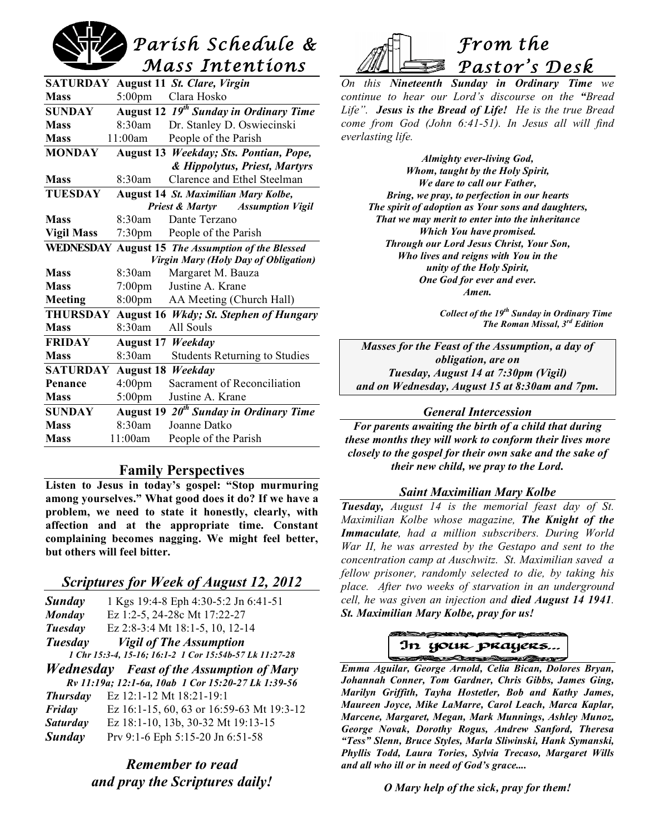# *Parish Schedule & Mass Intentions*

| SATURDAY                                    |                  | August 11 St. Clare, Virgin                        |
|---------------------------------------------|------------------|----------------------------------------------------|
| <b>Mass</b>                                 | $5:00 \text{pm}$ | Clara Hosko                                        |
| <b>SUNDAY</b>                               |                  | August 12 19 <sup>th</sup> Sunday in Ordinary Time |
| <b>Mass</b>                                 | 8:30am           | Dr. Stanley D. Oswiecinski                         |
| <b>Mass</b>                                 | 11:00am          | People of the Parish                               |
| <b>MONDAY</b>                               |                  | August 13 Weekday; Sts. Pontian, Pope,             |
|                                             |                  | & Hippolytus, Priest, Martyrs                      |
| <b>Mass</b>                                 | $8:30$ am        | Clarence and Ethel Steelman                        |
| TUESDAY                                     |                  | August 14 St. Maximilian Mary Kolbe,               |
| <b>Priest &amp; Martyr</b> Assumption Vigil |                  |                                                    |
| Mass                                        | $8.30$ am        | Dante Terzano                                      |
| <b>Vigil Mass</b>                           | $7:30$ pm        | People of the Parish                               |
|                                             |                  | WEDNESDAY August 15 The Assumption of the Blessed  |
|                                             |                  | Virgin Mary (Holy Day of Obligation)               |
| <b>Mass</b>                                 | 8:30am           | Margaret M. Bauza                                  |
| <b>Mass</b>                                 | $7:00 \text{pm}$ | Justine A. Krane                                   |
| Meeting                                     | 8:00pm           | AA Meeting (Church Hall)                           |
| <b>THURSDAY</b>                             | <b>August 16</b> | <b>Wkdy</b> ; St. Stephen of Hungary               |
| <b>Mass</b>                                 | 8:30am           | All Souls                                          |
| <b>FRIDAY</b>                               | August 17        | Weekday                                            |
| <b>Mass</b>                                 | 8:30am           | <b>Students Returning to Studies</b>               |
| <b>SATURDAY</b>                             | August 18        | Weekday                                            |
| Penance                                     | $4:00$ pm        | Sacrament of Reconciliation                        |
| <b>Mass</b>                                 | $5:00$ pm        | Justine A. Krane                                   |
| <b>SUNDAY</b>                               |                  | August 19 20 <sup>th</sup> Sunday in Ordinary Time |
| <b>Mass</b>                                 | 8:30am           | Joanne Datko                                       |
| <b>Mass</b>                                 | 11:00am          | People of the Parish                               |

# **Family Perspectives**

**Listen to Jesus in today's gospel: "Stop murmuring among yourselves." What good does it do? If we have a problem, we need to state it honestly, clearly, with affection and at the appropriate time. Constant complaining becomes nagging. We might feel better, but others will feel bitter.**

# *Scriptures for Week of August 12, 2012*

| Sunday                                                  | 1 Kgs 19:4-8 Eph 4:30-5:2 Jn 6:41-51             |  |
|---------------------------------------------------------|--------------------------------------------------|--|
| Monday                                                  | Ez 1:2-5, 24-28c Mt 17:22-27                     |  |
| Tuesday                                                 | Ez 2:8-3:4 Mt 18:1-5, 10, 12-14                  |  |
| Tuesday                                                 | <b>Vigil of The Assumption</b>                   |  |
| 1 Chr 15:3-4, 15-16; 16:1-2 1 Cor 15:54b-57 Lk 11:27-28 |                                                  |  |
|                                                         | <b>Wednesday</b> Feast of the Assumption of Mary |  |
| Rv 11:19a; 12:1-6a, 10ab 1 Cor 15:20-27 Lk 1:39-56      |                                                  |  |
| <b>Thursday</b>                                         | Ez 12:1-12 Mt 18:21-19:1                         |  |
| Friday                                                  | Ez 16:1-15, 60, 63 or 16:59-63 Mt 19:3-12        |  |
| <b>Saturday</b>                                         | Ez 18:1-10, 13b, 30-32 Mt 19:13-15               |  |
| <b>Sunday</b>                                           | Prv 9:1-6 Eph 5:15-20 Jn 6:51-58                 |  |

# *Remember to read and pray the Scriptures daily!*



*On this Nineteenth Sunday in Ordinary Time we continue to hear our Lord's discourse on the "Bread Life". Jesus is the Bread of Life! He is the true Bread come from God (John 6:41-51). In Jesus all will find everlasting life.*

> *Almighty ever-living God, Whom, taught by the Holy Spirit, We dare to call our Father, Bring, we pray, to perfection in our hearts The spirit of adoption as Your sons and daughters, That we may merit to enter into the inheritance Which You have promised. Through our Lord Jesus Christ, Your Son, Who lives and reigns with You in the unity of the Holy Spirit, One God for ever and ever. Amen.*

> > *Collect of the 19th Sunday in Ordinary Time The Roman Missal, 3rd Edition*

*Masses for the Feast of the Assumption, a day of obligation, are on Tuesday, August 14 at 7:30pm (Vigil) and on Wednesday, August 15 at 8:30am and 7pm.*

#### *General Intercession*

*For parents awaiting the birth of a child that during these months they will work to conform their lives more closely to the gospel for their own sake and the sake of their new child, we pray to the Lord.*

# *Saint Maximilian Mary Kolbe*

*Tuesday, August 14 is the memorial feast day of St. Maximilian Kolbe whose magazine, The Knight of the Immaculate, had a million subscribers. During World War II, he was arrested by the Gestapo and sent to the concentration camp at Auschwitz. St. Maximilian saved a fellow prisoner, randomly selected to die, by taking his place. After two weeks of starvation in an underground cell, he was given an injection and died August 14 1941. St. Maximilian Mary Kolbe, pray for us!*



 *Emma Aguilar, George Arnold, Celia Bican, Dolores Bryan, Johannah Conner, Tom Gardner, Chris Gibbs, James Ging, Marilyn Griffith, Tayha Hostetler, Bob and Kathy James, Maureen Joyce, Mike LaMarre, Carol Leach, Marca Kaplar, Marcene, Margaret, Megan, Mark Munnings, Ashley Munoz, George Novak, Dorothy Rogus, Andrew Sanford, Theresa "Tess" Slenn, Bruce Styles, Marla Sliwinski, Hank Symanski, Phyllis Todd, Laura Tories, Sylvia Trecaso, Margaret Wills and all who ill or in need of God's grace....*

*O Mary help of the sick, pray for them!*